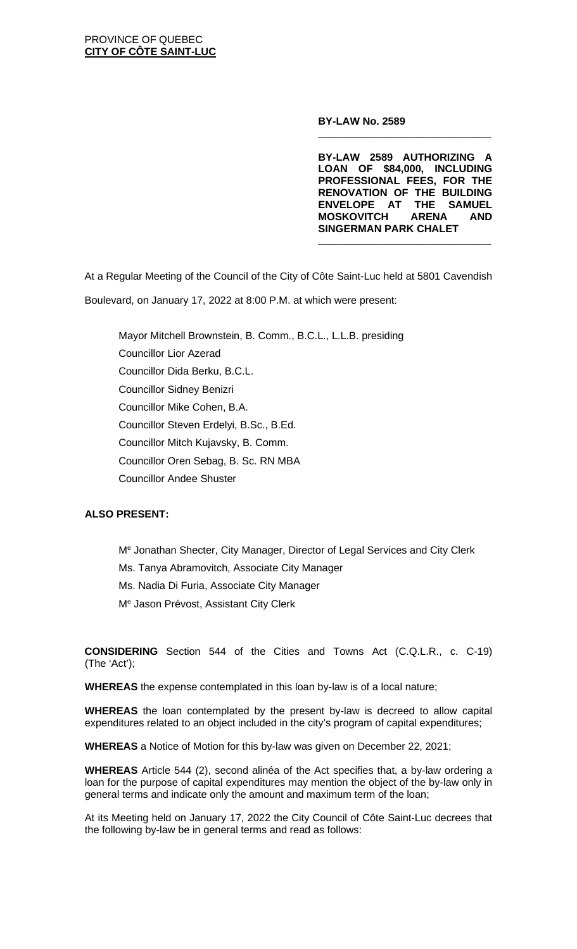**BY-LAW No. 2589**

**BY-LAW 2589 AUTHORIZING A LOAN OF \$84,000, INCLUDING PROFESSIONAL FEES, FOR THE RENOVATION OF THE BUILDING ENVELOPE AT THE SAMUEL MOSKOVITCH ARENA SINGERMAN PARK CHALET**

**\_\_\_\_\_\_\_\_\_\_\_\_\_\_\_\_\_\_\_\_\_\_\_\_\_\_\_\_\_\_**

**\_\_\_\_\_\_\_\_\_\_\_\_\_\_\_\_\_\_\_\_\_\_\_\_\_\_\_\_\_\_**

At a Regular Meeting of the Council of the City of Côte Saint-Luc held at 5801 Cavendish Boulevard, on January 17, 2022 at 8:00 P.M. at which were present:

Mayor Mitchell Brownstein, B. Comm., B.C.L., L.L.B. presiding Councillor Lior Azerad Councillor Dida Berku, B.C.L. Councillor Sidney Benizri Councillor Mike Cohen, B.A. Councillor Steven Erdelyi, B.Sc., B.Ed. Councillor Mitch Kujavsky, B. Comm. Councillor Oren Sebag, B. Sc. RN MBA Councillor Andee Shuster

## **ALSO PRESENT:**

Me Jonathan Shecter, City Manager, Director of Legal Services and City Clerk Ms. Tanya Abramovitch, Associate City Manager Ms. Nadia Di Furia, Associate City Manager Me Jason Prévost, Assistant City Clerk

**CONSIDERING** Section 544 of the Cities and Towns Act (C.Q.L.R., c. C-19) (The 'Act');

**WHEREAS** the expense contemplated in this loan by-law is of a local nature;

**WHEREAS** the loan contemplated by the present by-law is decreed to allow capital expenditures related to an object included in the city's program of capital expenditures;

**WHEREAS** a Notice of Motion for this by-law was given on December 22, 2021;

**WHEREAS** Article 544 (2), second alinéa of the Act specifies that, a by-law ordering a loan for the purpose of capital expenditures may mention the object of the by-law only in general terms and indicate only the amount and maximum term of the loan;

At its Meeting held on January 17, 2022 the City Council of Côte Saint-Luc decrees that the following by-law be in general terms and read as follows: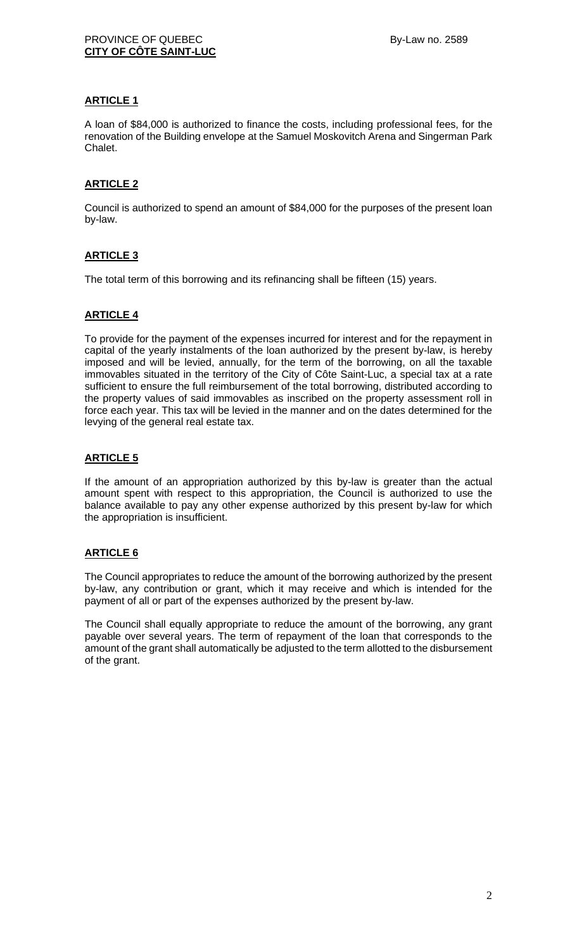### **ARTICLE 1**

A loan of \$84,000 is authorized to finance the costs, including professional fees, for the renovation of the Building envelope at the Samuel Moskovitch Arena and Singerman Park Chalet.

## **ARTICLE 2**

Council is authorized to spend an amount of \$84,000 for the purposes of the present loan by-law.

## **ARTICLE 3**

The total term of this borrowing and its refinancing shall be fifteen (15) years.

## **ARTICLE 4**

To provide for the payment of the expenses incurred for interest and for the repayment in capital of the yearly instalments of the loan authorized by the present by-law, is hereby imposed and will be levied, annually, for the term of the borrowing, on all the taxable immovables situated in the territory of the City of Côte Saint-Luc, a special tax at a rate sufficient to ensure the full reimbursement of the total borrowing, distributed according to the property values of said immovables as inscribed on the property assessment roll in force each year. This tax will be levied in the manner and on the dates determined for the levying of the general real estate tax.

#### **ARTICLE 5**

If the amount of an appropriation authorized by this by-law is greater than the actual amount spent with respect to this appropriation, the Council is authorized to use the balance available to pay any other expense authorized by this present by-law for which the appropriation is insufficient.

#### **ARTICLE 6**

The Council appropriates to reduce the amount of the borrowing authorized by the present by-law, any contribution or grant, which it may receive and which is intended for the payment of all or part of the expenses authorized by the present by-law.

The Council shall equally appropriate to reduce the amount of the borrowing, any grant payable over several years. The term of repayment of the loan that corresponds to the amount of the grant shall automatically be adjusted to the term allotted to the disbursement of the grant.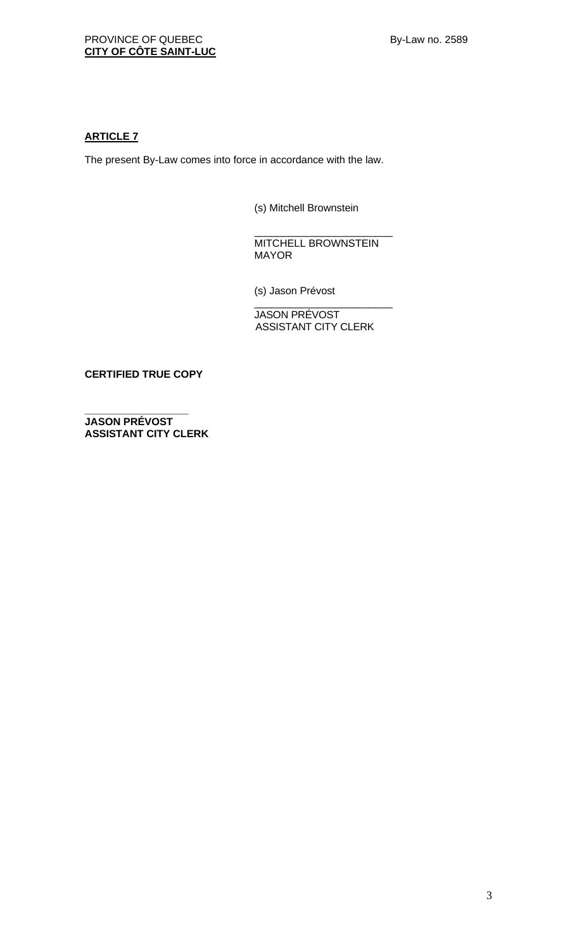# **ARTICLE 7**

The present By-Law comes into force in accordance with the law.

(s) Mitchell Brownstein

\_\_\_\_\_\_\_\_\_\_\_\_\_\_\_\_\_\_\_\_\_\_\_\_ MITCHELL BROWNSTEIN MAYOR

(s) Jason Prévost

\_\_\_\_\_\_\_\_\_\_\_\_\_\_\_\_\_\_\_\_\_\_\_\_ JASON PRÉVOST ASSISTANT CITY CLERK

**CERTIFIED TRUE COPY**

**\_\_\_\_\_\_\_\_\_\_\_\_\_\_\_\_\_\_ JASON PRÉVOST ASSISTANT CITY CLERK**